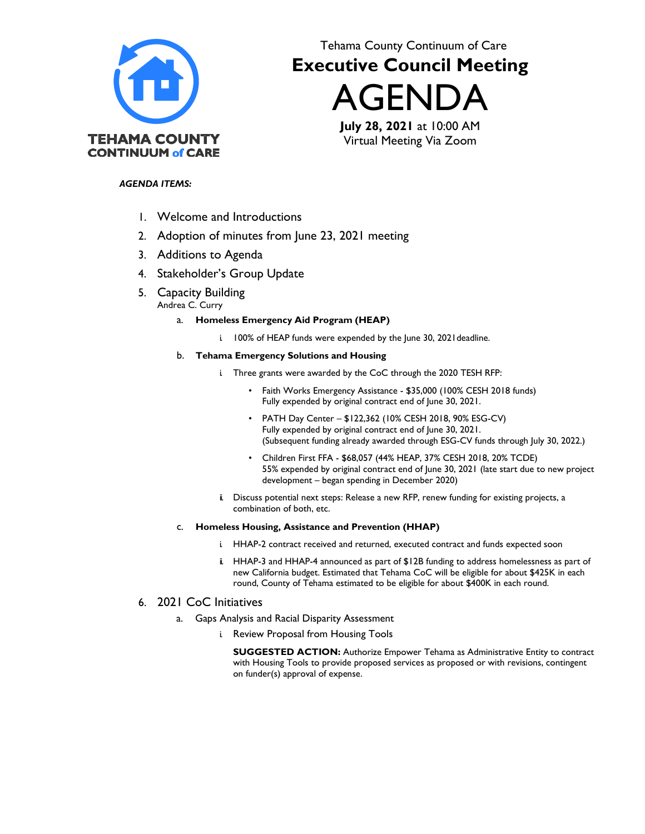

# Tehama County Continuum of Care **Executive Council Meeting**

AGENDA

**July 28, 2021** at 10:00 AM Virtual Meeting Via Zoom

### *AGENDA ITEMS:*

- 1. Welcome and Introductions
- 2. Adoption of minutes from June 23, 2021 meeting
- 3. Additions to Agenda
- 4. Stakeholder's Group Update
- 5. Capacity Building Andrea C. Curry
	- a. **Homeless Emergency Aid Program (HEAP)**
		- i. 100% of HEAP funds were expended by the June 30, 2021deadline.
	- b. **Tehama Emergency Solutions and Housing** 
		- i. Three grants were awarded by the CoC through the 2020 TESH RFP:
			- Faith Works Emergency Assistance \$35,000 (100% CESH 2018 funds) Fully expended by original contract end of June 30, 2021.
			- PATH Day Center \$122,362 (10% CESH 2018, 90% ESG-CV) Fully expended by original contract end of June 30, 2021. (Subsequent funding already awarded through ESG-CV funds through July 30, 2022.)
			- Children First FFA \$68,057 (44% HEAP, 37% CESH 2018, 20% TCDE) 55% expended by original contract end of June 30, 2021 (late start due to new project development – began spending in December 2020)
		- i. Discuss potential next steps: Release a new RFP, renew funding for existing projects, a combination of both, etc.
	- c. **Homeless Housing, Assistance and Prevention (HHAP)**
		- i. HHAP-2 contract received and returned, executed contract and funds expected soon
		- ii. HHAP-3 and HHAP-4 announced as part of \$12B funding to address homelessness as part of new California budget. Estimated that Tehama CoC will be eligible for about \$425K in each round, County of Tehama estimated to be eligible for about \$400K in each round.

## 6. 2021 CoC Initiatives

- a. Gaps Analysis and Racial Disparity Assessment
	- i. Review Proposal from Housing Tools

**SUGGESTED ACTION:** Authorize Empower Tehama as Administrative Entity to contract with Housing Tools to provide proposed services as proposed or with revisions, contingent on funder(s) approval of expense.